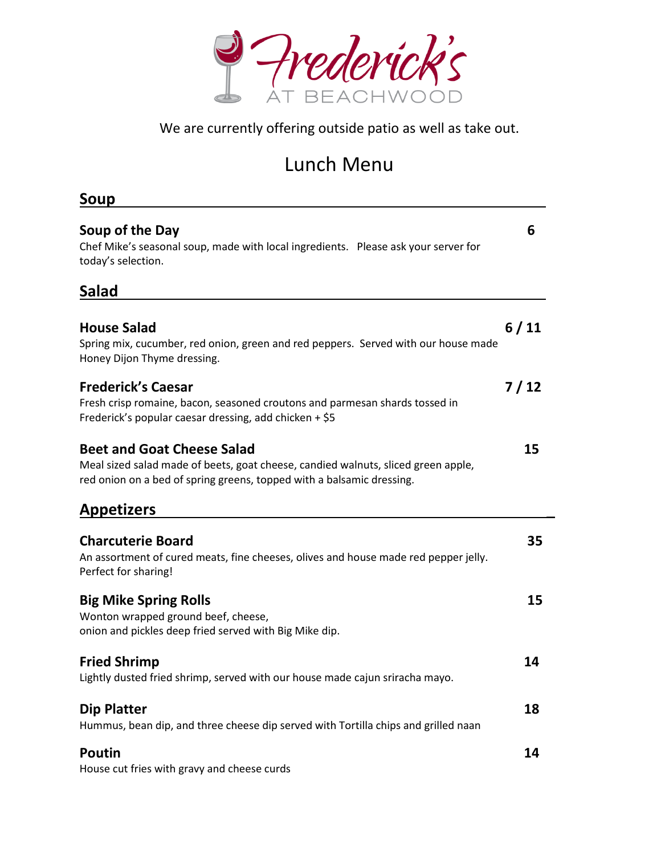

We are currently offering outside patio as well as take out.

## Lunch Menu

| Soup                                                                                                                                                                                            |      |
|-------------------------------------------------------------------------------------------------------------------------------------------------------------------------------------------------|------|
| Soup of the Day<br>Chef Mike's seasonal soup, made with local ingredients. Please ask your server for<br>today's selection.                                                                     | 6    |
| <b>Salad</b>                                                                                                                                                                                    |      |
| <b>House Salad</b><br>Spring mix, cucumber, red onion, green and red peppers. Served with our house made<br>Honey Dijon Thyme dressing.                                                         | 6/11 |
| <b>Frederick's Caesar</b><br>Fresh crisp romaine, bacon, seasoned croutons and parmesan shards tossed in<br>Frederick's popular caesar dressing, add chicken + \$5                              | 7/12 |
| <b>Beet and Goat Cheese Salad</b><br>Meal sized salad made of beets, goat cheese, candied walnuts, sliced green apple,<br>red onion on a bed of spring greens, topped with a balsamic dressing. | 15   |
| <b>Appetizers</b>                                                                                                                                                                               |      |
| <b>Charcuterie Board</b><br>An assortment of cured meats, fine cheeses, olives and house made red pepper jelly.<br>Perfect for sharing!                                                         | 35   |
| <b>Big Mike Spring Rolls</b><br>Wonton wrapped ground beef, cheese,<br>onion and pickles deep fried served with Big Mike dip.                                                                   | 15   |
| <b>Fried Shrimp</b><br>Lightly dusted fried shrimp, served with our house made cajun sriracha mayo.                                                                                             | 14   |
| <b>Dip Platter</b><br>Hummus, bean dip, and three cheese dip served with Tortilla chips and grilled naan                                                                                        | 18   |
| <b>Poutin</b><br>House cut fries with gravy and cheese curds                                                                                                                                    | 14   |